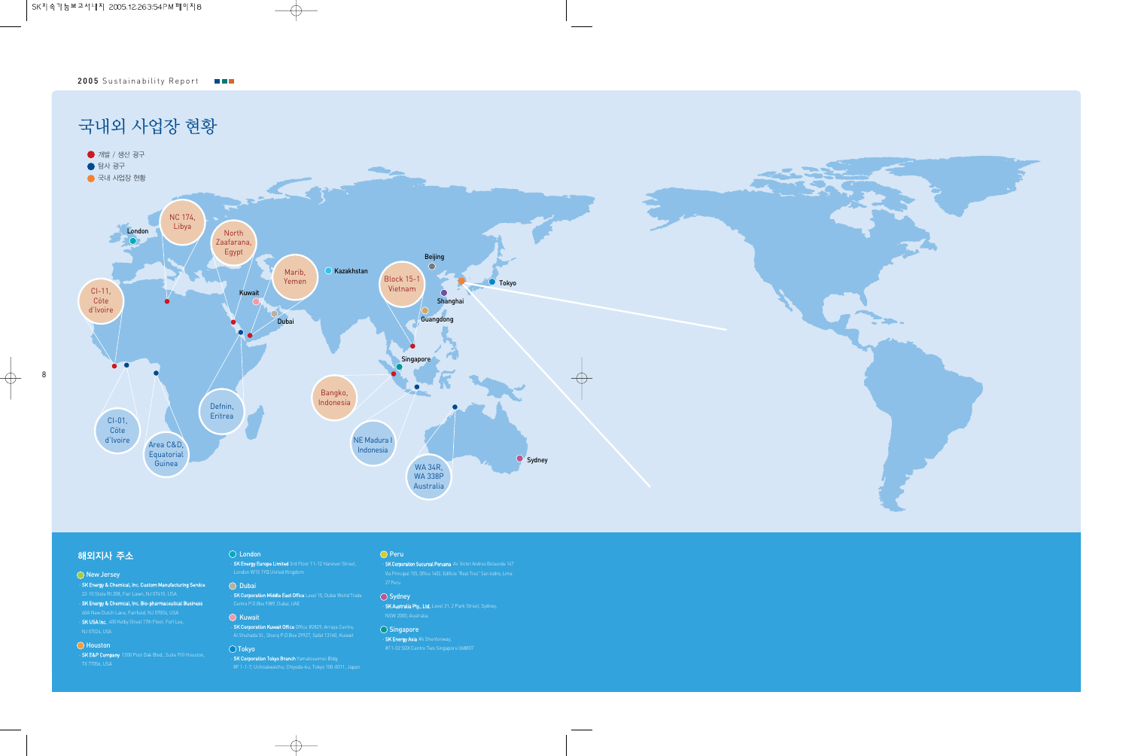

# 해외지사 주소

#### ◯ New Jersey

- SK Energy & Chemical, Inc. Custom Manufacturing Service
- SK Energy & Chemical, Inc. Bio-pharmaceutical Business 40A New Dutch Lane, Fairfield, NJ 07004, USA - **SK USA Inc.** 400 Kelby Street 17th Floor, Fort Lee,

### $\overline{\bigcirc}$  Houston

SK E&P Company 1300 Post Oak Blvd., Suite 910 Houston,

# ◯ London

- SK Energy Europe Limited 3rd Floor 11-12 Hanover Street,

#### ◯ Dubai

SK Corporation Middle East Office Level 10, Dubai World Trade

#### $\overline{O}$  Kuwait

- **SK Corporation Kuwait Office** Office #2829, Arraya Centre, Al Shuhada St., Sharq P.O Box 29927, Safat 13160, Kuwait

## Tokyo

- SK Corporation Tokyo Branch Yamatoseimei Bldg. 8F 1-1-7, Uchisaiwaicho, Chiyoda-ku, Tokyo 100-0011, Japan

#### $\bigcirc$  Peru

SK Corporation Sucursal Peruana Av. Victor Andres Belaunde 147 27 Peru

#### $\bigcirc$  Sydney

- SK Australia Pty., Ltd. Level 31, 2 Park Street, Sydney, NSW 2000, Australia

## $\bigcirc$  Singapore

SK Energy Asia #4 Shentonway,